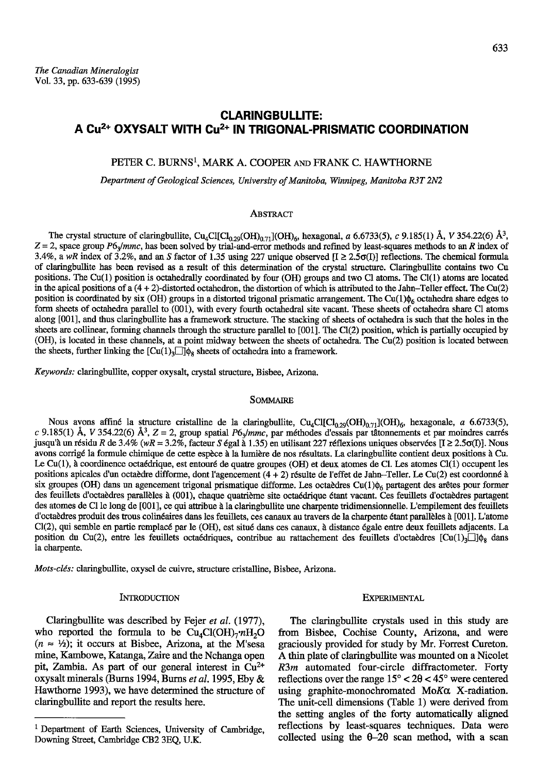# CLARINGBULLITE: A Cu<sup>2+</sup> OXYSALT WITH Cu<sup>2+</sup> IN TRIGONAL-PRISMATIC COORDINATION

### PETER C. BURNS<sup>1</sup>, MARK A. COOPER AND FRANK C. HAWTHORNE

Department of Geological Sciences, University of Manitoba, Winnipeg, Manitoba R3T 2N2

### ABSTRACT

The crystal structure of claringbullite, Cu<sub>4</sub>Cl[Cl<sub>0.29</sub>(OH)<sub>0.71</sub>](OH)<sub>6</sub>, hexagonal, a 6.6733(5), c 9.185(1) Å, V 354.22(6) Å<sup>3</sup>,  $Z = 2$ , space group P6<sub>3</sub>/mmc, has been solved by trial-and-error methods and refined by least-squares methods to an R index of 3.4%, a wR index of 3.2%, and an S factor of 1.35 using 227 unique observed  $[I \ge 2.5\sigma(I)]$  reflections. The chemical formula of claringbullite has been revised as a result of this determination of the crystal structure. Claringbullite contains two Cu positions. The Cu(1) position is octahedrally coordinated by four (OH) groups and two Cl atoms. The Cl(1) atoms are located in the apical positions of a  $(4 + 2)$ -distorted octahedron, the distortion of which is attributed to the Jahn-Teller effect. The Cu(2) position is coordinated by six (OH) groups in a distorted trigonal prismatic arrangement. The Cu(1) $\phi_6$  octahedra share edges to form sheets of octahedra parallel to (001), with every fourth ocahedral site vacant. These sheets of octahedra share Cl atoms along [001], and thus claringbullite has a framework structure. The stacking of sheets of octahedra is such that the holes in the sheets are collinear, forming channels through the structure parallel to [001]. The Cl(2) position, which is partially occupied by (OH), is located in these channels, at a point midway between the sheets of octahedra. The Cu(2) position is located between the sheets, further linking the  $\text{[Cu(1),]]}\phi_8$  sheets of octahedra into a framework.

Keywords: claringbullite, copper oxysalt, crystal structure, Bisbee, Arizona.

#### SOMMAIRE

Nous avons affiné la structure cristalline de la claringbullite, Cu<sub>4</sub>Cl[Cl<sub>0.29</sub>(OH)<sub>0.71</sub>](OH)<sub>6</sub>, hexagonale, a 6.6733(5), c 9.185(1) Å, V 354.22(6) Å<sup>3</sup>, Z = 2, group spatial P6<sub>2</sub>/mmc, par méthodes d'essais par tâtonnements et par moindres carrés jusqu'à un résidu R de 3.4% (wR = 3.2%, facteur S égal à 1.35) en utilisant 227 réflexions uniques observées [ $I \ge 2.5\sigma(I)$ ]. Nous avons corrigé la formule chimique de cette espèce à la lumière de nos résultats. La claringbullite contient deux positions à Cu. Le Cu(1), à coordinence octaédrique, est entouré de quatre groupes (OH) et deux atomes de Cl. Les atomes Cl(1) occupent les positions apicales d'un octaèdre difforme, dont l'agencement (4 + 2) résulte de l'effet de Jahn-Teller. Le Cu(2) est coordonné à six groupes (OH) dans un agencement trigonal prismatique difforme. Les octaèdres  $Cu(1)\phi_6$  partagent des arêtes pour former des feuillets d'octaèdres parallèles à (001), chaque quatrième site octaédrique étant vacant. Ces feuillets d'octaèdres partagent des atomes de Cl le long de [001], ce qui attribue à la claringbullite une charpente tridimensionnelle. L'empilement des feuillets d'octaèdres produit des trous colinéaires dans les feuillets, ces canaux au travers de la charpente étant parallèles à [001]. L'atome Cl(2), qui semble en partie remplac6 par le (OIT), est situd dans ces catranx, idistance 6gale entre deux feuillets adjacents. La position du Cu(2), entre les feuillets octaédriques, contribue au rattachement des feuillets d'octaèdres  $\lceil Cu(1)_2 \rceil \rceil \phi_2$  dans la charpente.

Mots-cl6s: claringbullite, oxysel de cuivre, structure cristalline, Bisbee, Arizona.

#### INTRODUCTION

Claringbullite was described by Fejer et al. (1977), who reported the formula to be  $Cu<sub>4</sub>Cl(OH)<sub>7</sub>$ , $nH<sub>2</sub>O$  $(n \approx \frac{1}{2})$ ; it occurs at Bisbee, Arizona, at the M'sesa mine, Kambowe, Katanga, Zaire and the Nchanga open pit, Zambia. As part of our general interest in  $Cu^{2+}$ oxysalt minerals (Burns 1994, Burns *et al.* 1995, Eby & Hawthorne 1993), we have deiermined the structure of claringbullite and report the results here.

# **EXPERIMENTAL**

The claringbullite crystals used in this study are from Bisbee, Cochise County, Arizona, and were graciously provided for study by Mr. Forrest Cureton. d thin plate of claringbullite was mounted on a Nicolet R3m automated four-circle diffractometer. Forty reflections over the range  $15^{\circ} < 20 < 45^{\circ}$  were centered using graphite-monochromated MoKa X-radiation. The unit-cell dimensions (Table 1) were derived from the setting angles of the forty automatically aligned reflections by least-squares techniques. Data were collected using the  $\theta$ -2 $\theta$  scan method, with a scan

<sup>&</sup>lt;sup>1</sup> Department of Earth Sciences, University of Cambridge, Downing Street, Cambridge CB2 3EQ, U.K.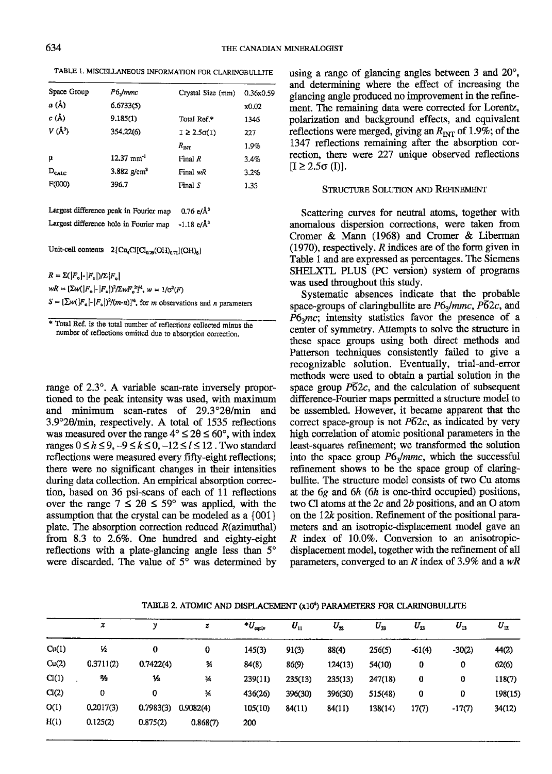TABLE 1. MISCELLANEOUS INFORMATION FOR CLARINGBULLITE

| Space Group   | P6Jmmc                    | Crystal Size (mm)     | 0.36x0.59 |
|---------------|---------------------------|-----------------------|-----------|
| a (Å)         | 6.6733(5)                 |                       | x0.02     |
| $c(\lambda)$  | 9.185(1)                  | Total Ref.*           | 1346      |
| $V(\AA^3)$    | 354.22(6)                 | $I \geq 2.5\sigma(I)$ | 227       |
|               |                           | $R_{\rm n}$           | 1.9%      |
| μ             | $12.37$ mm <sup>-1</sup>  | Final R               | 3.4%      |
| $D_{\rm CAL}$ | $3.882$ g/cm <sup>3</sup> | Final wR              | 3.2%      |
| F(000)        | 396.7                     | Final S               | 1.35      |

Largest difference peak in Fourier map  $0.76 \text{ e}/\text{\AA}^3$ Largest difference hole in Fourier map -1.18 e/ $\AA$ <sup>3</sup>

Unit-cell contents  $2\{Cu_4Cl[Cl_{0,29}(OH)_{0,71}](OH)_6\}$ 

 $R = \sum (|F_o| - |F_e|)/\sum |F_o|$  $wR = [\Sigma w(|F_{\rm e}| - |F_{\rm e}|)^2/\Sigma wF_{\rm e}^2]^4, w = 1/\sigma^2(F)$  $S = [\sum w(|F_n|-|F_n|)^2/(m-n)]^4$ , for *m* observations and *n* parameters

\* Total Ref. is the total number of reflections collected minus the number of reflections omitted due to absorption correction.

range of 2.3°. A variable scan-rate inversely proportioned to the peak intensity was used, with maximum and minimum scan-rates of  $29.3^{\circ}20/\text{min}$  and 3.9°20/min, respectively. A total of 1535 reflections was measured over the range  $4^{\circ} \le 20 \le 60^{\circ}$ , with index ranges  $0 \le h \le 9, -9 \le k \le 0, -12 \le l \le 12$ . Two standard reflections were measured every fifly-eight reflections; there were no significant changes in their intensities during data collection. An empirical absorption correction, based on 36 psi-scans of each of 11 reflections over the range  $7 \le 20 \le 59^{\circ}$  was applied, with the assumption that the crystal can be modeled as a {001} plate. The absorption correction reduced  $R($ azimuthal $)$ from 8.3 to 2.6%. One hundred and eighty-eight reflections with a plate-glancing angle less than  $5^\circ$ were discarded. The value of  $5^\circ$  was determined by using a range of glancing angles between 3 and  $20^{\circ}$ , and determining where the effect of increasing the glancing angle produced no improvement in the refinement. The remaining data were corrected for Lorentz, polarization and background effects, and equivalent reflections were merged, giving an  $R_{\text{INT}}$  of 1.9%; of the 1347 reflections remaining after the absorption correction, there were 227 unique observed reflections  $[I \ge 2.5\sigma(I)].$ 

# STRUCTURE SOLUTION AND REFINEMENT

Scattering curves for neufial atoms, together with anomalous dispersion corections, were taken from Cromer & Mann (1968) and Cromer & Liberman  $(1970)$ , respectively. R indices are of the form given in Table 1 and are expressed as percentages. The Siemens SHELXTL PLUS (PC version) system of programs was used throughout this study.

Systematic absences indicate that the probable space-groups of claringbullite are  $P6_3/mmc$ ,  $\overline{P62c}$ , and  $P6<sub>3</sub>mc$ ; intensity statistics favor the presence of a center of symmetry. Attempts to solve the structure in these space groups using both direct methods and Patterson techniques consistently failed to give a recognizable solution. Eventually, trial-and-error methods were used to obtain a partial solution in the space group  $\overline{P62c}$ , and the calculation of subsequent difference-Fourier maps permitted a structure model to be assembled. However, it became apparent that the correct space-group is not  $P\overline{6}2c$ , as indicated by very high correlation of atomic positional parameters in the least-squares refinement; we transformed the solution into the space group  $P6_3/mmc$ , which the successful refinement shows to be the space group of claringbullite. The stucture model consists of two Cu atoms at the  $6g$  and  $6h$  ( $6h$  is one-third occupied) positions, two Cl atoms at the  $2c$  and  $2b$  positions, and an O atom on the  $12k$  position. Refinement of the positional parameters and an isotropic-displacement model gave an  $R$  index of 10.0%. Conversion to an anisotropicdisplacement model, together with the refinement of all parameters, converged to an  $R$  index of 3.9% and a wR

TABLE 2. ATOMIC AND DISPLACEMENT (x10<sup>4</sup>) PARAMETERS FOR CLARINGBULLITE

|       | x             | ν         | z             | $*U_{\text{equiv}}$ | $U_{11}$ | $U_{\mathbf{z}}$ | $U_{33}$ | $U_{23}$ | $U_{13}$ | $U_{12}$ |
|-------|---------------|-----------|---------------|---------------------|----------|------------------|----------|----------|----------|----------|
| Cu(1) | 圪             | 0         | 0             | 145(3)              | 91(3)    | 88(4)            | 256(5)   | $-61(4)$ | $-30(2)$ | 44(2)    |
| Cu(2) | 0.3711(2)     | 0.7422(4) | $\frac{3}{4}$ | 84(8)               | 86(9)    | 124(13)          | 54(10)   | 0        | 0        | 62(6)    |
| Cl(1) | $\frac{2}{3}$ | 丛         | ¾             | 239(11)             | 235(13)  | 235(13)          | 247(18)  | 0        | 0        | 118(7)   |
| Cl(2) | 0             | 0         | 34            | 436(26)             | 396(30)  | 396(30)          | 515(48)  | 0        | 0        | 198(15)  |
| O(1)  | 0.2017(3)     | 0.7983(3) | 0.9082(4)     | 105(10)             | 84(11)   | 84(11)           | 138(14)  | 17(7)    | $-17(7)$ | 34(12)   |
| H(1)  | 0.125(2)      | 0.875(2)  | 0.868(7)      | 200                 |          |                  |          |          |          |          |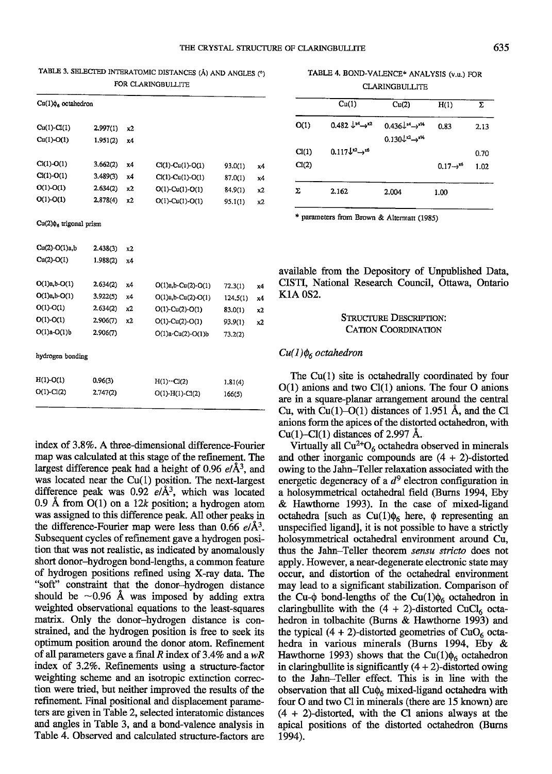| TABLE 3. SELECTED INTERATOMIC DISTANCES (Å) AND ANGLES (°) |  |  |
|------------------------------------------------------------|--|--|
| FOR CLARINGBULLITE                                         |  |  |

| $Cu(1)\phi_6$ octahedron     |          |    |                           |          |    |
|------------------------------|----------|----|---------------------------|----------|----|
| $Cu(1)-Cl(1)$                | 2.997(1) | x2 |                           |          |    |
| $Cu(1)-O(1)$                 | 1.951(2) | x4 |                           |          |    |
| $Cl(1)-O(1)$                 | 3.662(2) | x4 | $Cl(1)-Cu(1)-O(1)$        | 93.0(1)  | x4 |
| $Cl(1)-O(1)$                 | 3,489(3) | x4 | $Cl(1)-Cu(1)-O(1)$        | 87.0(1)  | х4 |
| $O(1)-O(1)$                  | 2.634(2) | x2 | $O(1)$ -Cu(1)- $O(1)$     | 84.9(1)  | х2 |
| $O(1)-O(1)$                  | 2.878(4) | x2 | $O(1)$ -Cu(1)-O(1)        | 95.1(1)  | x2 |
| $Cu(2)\phi_6$ trigonal prism |          |    |                           |          |    |
| Cu(2)-O(1)a,b                | 2.438(3) | x2 |                           |          |    |
| $Cu(2)-O(1)$                 | 1.988(2) | x4 |                           |          |    |
| $O(1)a, b-O(1)$              | 2.634(2) | x4 | $O(1)a, b$ $Cu(2)$ $O(1)$ | 72.3(1)  | x4 |
| $O(1)a, b-O(1)$              | 3.922(5) | х4 | $O(1)a, b-Cu(2)-O(1)$     | 124.5(1) | x4 |
| $O(1)-O(1)$                  | 2.634(2) | x2 | $O(1)$ -Cu(2)- $O(1)$     | 83.0(1)  | x2 |
| $O(1)-O(1)$                  | 2.906(7) | x2 | $O(1)$ -Cu(2)-O(1)        | 93.9(1)  | x2 |
| $O(1)a-O(1)b$                | 2.906(7) |    | $O(1)a-Cu(2)-O(1)b$       | 73.2(2)  |    |
| hydrogen bonding             |          |    |                           |          |    |
| $H(1) - O(1)$                | 0.96(3)  |    | $H(1)\cdots Cl(2)$        | 1.81(4)  |    |
| $O(1)$ - $Cl(2)$             | 2.747(2) |    | $O(1)-H(1)-Cl(2)$         | 166(5)   |    |

index of 3.8%. A three-dimensional difference-Fourier map was calculated at this stage of the refinement. The largest difference peak had a height of 0.96  $e/\text{\AA}^3$ , and was located near the  $Cu(1)$  position. The next-largest difference peak was  $0.92 \text{ e}/\text{\AA}^3$ , which was located 0.9 Å from  $O(1)$  on a 12k position; a hydrogen atom was assigned to this difference peak. All other peaks^in the difference-Fourier map were less than 0.66  $e/\text{\AA}^3$ . Subsequent cycles of refinement gave a hydrogen position that was not realistic, as indicated by anomalously short donor-hydrogen bond-lengths, a common feature of hydrogen positions refined using X-ray data. The "soft" constraint that the donor-hydrogen distance should be  $\sim 0.96$  Å was imposed by adding extra weighted observational equations to the least-squares matix. Only the donor-hydrogen distance is constrained, and the hydrogen position is free to seek its optimum position arcund the donor atom. Refinement of all parameters gave a final R index of 3.4% and a  $wR$ index of 3.2%. Refinements using a structure-factor weigbting scheme and an isoftopic extinction correction were tie4 but neither improved the results of the refinement. Final positional and displacement parameters are given in Table 2, selected interatomic distances and angles in Table 3, and a bond-valence analysis in Table 4. Observed and calculated stucture-factors are

TABLE 4. BOND-VALENCE\* ANALYSIS (v.u.) FOR **CLARINGBULLITE** 

|       | Cu(1)                                    | Cu(2)                                                            | H(1)                   | Σ    |
|-------|------------------------------------------|------------------------------------------------------------------|------------------------|------|
| O(1)  | $0.482 \downarrow^{x4} \rightarrow^{x2}$ | $0.436L^{14} \rightarrow 14$<br>$0.130L^{x2} \rightarrow x^{x6}$ | 0.83                   | 2.13 |
| Cl(1) | $0.117\sqrt{x^2} \rightarrow x^6$        |                                                                  |                        | 0.70 |
| Cl(2) |                                          |                                                                  | $0.17 \rightarrow x^6$ | 1.02 |
| Σ     | 2.162                                    | 2.004                                                            | 1.00                   |      |

\* parameters from Brown & Altermatt (1985)

available from the Depository of Unpublished Data, CISTI, National Research Council, Ottawa, Ontario KlA 0S2.

# STRUCTURE DESCRIPTION: CATION COORDINATION

#### $Cu(1)\phi_6$  octahedron

The Cu(1) site is octahedrally coordinated by four  $O(1)$  anions and two  $Cl(1)$  anions. The four O anions are in a square-planar arrangement around the central Cu, with  $Cu(1)-O(1)$  distances of 1.951 Å, and the Cl anions form the apices of the distorted octahedron, with Cu(1)-Cl(1) distances of 2.997 Å.

Virtually all  $Cu^{2+}O_6$  octahedra observed in minerals and other inorganic compounds are  $(4 + 2)$ -distorted owing to the Jahn-Teller relaxation associated with the energetic degeneracy of a  $d^9$  electron configuration in a holosymmetrical octahedral field (Burns 1994, Eby & Hawthome 1993). In the case of mixed-ligand octahedra [such as  $Cu(1)\phi_6$  here,  $\phi$  representing an unspecified ligand], it is not possible to have a strictly holosymmetrical octahedral environment around Cu, thus the Jahn-Teller theorem sensu stricto does not apply. However, a near-degenerate electronic state may occur, and distortion of the octahedral environment may lead to a significant stabilization. Comparison of the Cu- $\phi$  bond-lengths of the Cu(1) $\phi_6$  octahedron in claringbullite with the  $(4 + 2)$ -distorted CuCl<sub>6</sub> octahedron in tolbachite (Burns & Hawthorne 1993) and the typical  $(4 + 2)$ -distorted geometries of CuO<sub>6</sub> octahedra in various minerals (Burns 1994, Eby & Hawthorne 1993) shows that the Cu(1) $\phi_6$  octahedron in claring bullite is significantly  $(4 + 2)$ -distorted owing to the Jahn-Teller effect. This is in line with the observation that all  $Cu\phi_6$  mixed-ligand octahedra with four O and two Cl in minerals (there are 15 known) are  $(4 + 2)$ -distorted, with the Cl anions always at the apical positions of the distorted octahedron (Burns 1994).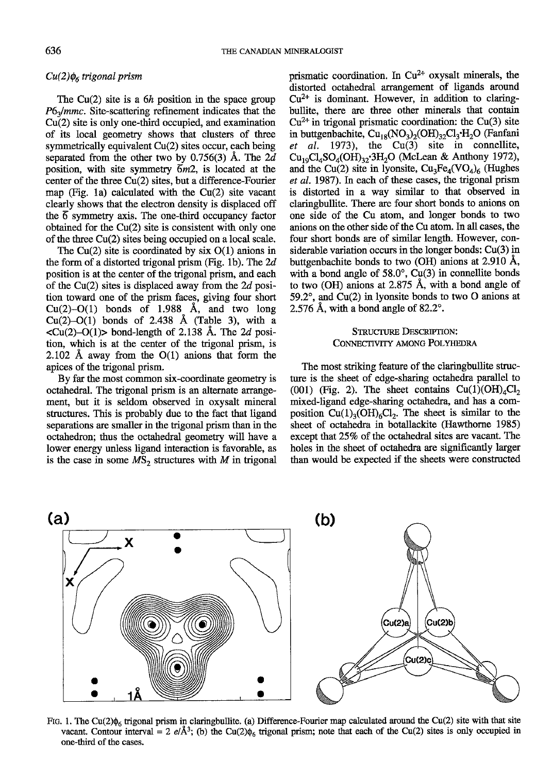# $Cu(2)\phi_6$  trigonal prism

The Cu(2) site is a  $6h$  position in the space group  $P6<sub>3</sub>/mmc$ . Site-scattering refinement indicates that the Cu(2) site is only one-third occupied, and examination of its local geometry shows that clusters of three symmetrically equivalent Cu(2) sites occur, each being separated from the other two by 0.756(3) Å. The  $2d$ position, with site symmetry  $\overline{6}m2$ , is located at the center of the three Cu(2) sites, but a difference-Fourier map (Fig. la) calculated with the Cu(2) site vacant clearly shows that the electron density is displaced off the 6 symmetry axis. The one-third occupancy factor obtained for the Cu(2) site is consistent with only one of the three  $Cu(2)$  sites being occupied on a local scale.

The Cu(2) site is coordinated by six  $O(1)$  anions in the form of a distorted trigonal prism (Fig. 1b). The  $2d$ position is at the center of the trigonal prism, and each of the Cu(2) sites is displaced away from the  $2d$  position toward one of the prism face^s, giving four short Cu(2)-O(1) bonds of 1.988  $\AA$ , and two long  $Cu(2)-O(1)$  bonds of 2.438 Å (Table 3), with a  $\langle Cu(2)-O(1) \rangle$  bond-length of 2.138 Å. The 2d position, which is at the center of the trigonal prism, is 2.102 Å away from the  $O(1)$  anions that form the apices of the rigonal prism.

By far the most common six-coordinate geometry is octahedral. The trigonal prism is an alternate arangement, but it is seldom observed in oxysalt mineral sfructures. This is probably due to the fact that ligand separations are smaller in the trigonal prism than in the octahedron; thus the octahedral geometry will have a lower energy unless ligand interaction is favorable, as is the case in some  $MS_2$  structures with M in trigonal prismatic coordination. In  $Cu^{2+}$  oxysalt minerals, the distorted octahedral arangement of ligands around  $Cu<sup>2+</sup>$  is dominant. However, in addition to claringbullite, there are three other minerals that contain  $Cu^{2+}$  in trigonal prismatic coordination: the Cu(3) site in buttgenbachite,  $Cu_{18}(NO_3)_2(OH)_{32}Cl_3·H_2O$  (Fanfani et al. 1973), the  $Cu(3)$  site in connellite,  $Cu_{19}Cl_{4}SO_{4}(OH)_{32}^{3}$ :3H<sub>2</sub>O (McLean & Anthony 1972), and the Cu(2) site in lyonsite,  $Cu_3Fe_4(VO_4)_6$  (Hughes et al. 1987). In each of these cases, the trigonal prism is distorted in a way similar to that observed in claringbullite. There are four short bonds to anions on one side of the Cu atom, and longer bonds to two anions on the other side of the Cu atom. In all cases, the four short bonds are of similar length. However, considerable variation occurs in the longer bonds:  $Cu(3)$  in buttgenbachite bonds to two (OH) anions at 2.910 A, with a bond angle of  $58.0^{\circ}$ , Cu(3) in connellite bonds to two (OH) anions at  $2.875$  Å, with a bond angle of 59.2 $^{\circ}$ , and Cu(2) in lyonsite bonds to two O anions at 2.576 Å, with a bond angle of  $82.2^\circ$ .

# STRUCTURE DESCRIPTION: CONNECTIVITY AMONG POLYHEDRA

The most striking feature of the claringbullite structure is the sheet of edge-sharing octahedra parallel to (001) (Fig. 2). The sheet contains  $Cu(1)(OH)<sub>a</sub>Cl<sub>2</sub>$ mixed-ligand edge-sharing octahedra, and has a composition  $Cu(1)_{3}(OH)_{6}Cl_{2}$ . The sheet is similar to the sheet of octahedra in botallackite (Hawthorne 1985) except that 25% of the octahedral sites are vacant. The holes in the sheet of octahedra are significantly larger than would be expected if the sheets were constructed



Fig. 1. The Cu(2) $\phi_6$  trigonal prism in claringbullite. (a) Difference-Fourier map calculated around the Cu(2) site with that site vacant. Contour interval = 2 e/ $\AA$ <sup>3</sup>; (b) the Cu(2) $\phi_6$  trigonal prism; note that each of the Cu(2) sites is only occupied in one-third of the cases.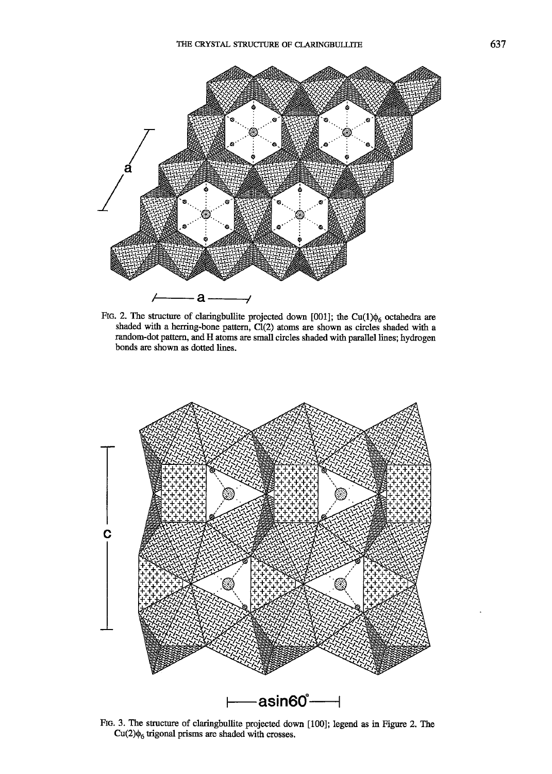

FIG. 2. The structure of claringbullite projected down [001]; the Cu(1) $\phi_6$  octahedra are shaded with a herring-bone pattern, Cl(2) atoms are shown as circles shaded with a random-dot pattem, and H atoms are small circles shaded with parallel lines; hydrogen bonds are shown as dotted lines.



Flc. 3. The structue of claringbullite projected down [100]; legend as in Figure 2. The  $Cu(2)\phi_6$  trigonal prisms are shaded with crosses.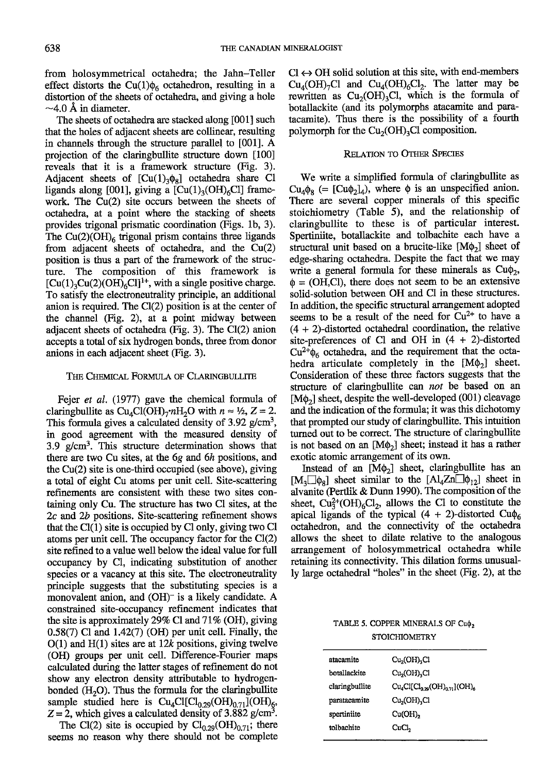from holosymmetrical octahedra; the Jahn-Teller effect distorts the Cu(1) $\phi_6$  octahedron, resulting in a distortion of the sheets of octahedra, and giving a hole  $\sim$ 4.0 Å in diameter.

The sheets of octahedra are stacked along [001] such that the holes of adjacent sheets are collineax, resulting in channels through the stucture parallel to [001]. A projection of the claringbullite structure down [100] reveals that it is a framework structure (Fig. 3). Adjacent sheets of  $\left[\text{Cu}(1)_3 \phi_8\right]$  octahedra share Cl ligands along [001], giving a  $[Cu(1)_{3}(OH)_{6}Cl]$  framework. The  $Cu(2)$  site occurs between the sheets of octahedra, at a point where the stacking of sheets provides figonal prismatic coordination (Figs. lb, 3). The Cu(2)(OH)<sub>6</sub> trigonal prism contains three ligands from adjacent sheets of octahedra, and the  $Cu(2)$ position is thus a part of the framework of the structure. The composition of this framework is  $[Cu(1)_3Cu(2)(OH)_6Cl]^{1+}$ , with a single positive charge. To satisfy the electroneutrality principle, an additional anion is required. The  $Cl(2)$  position is at the center of the channel (Fig. 2), at a point midway between adjacent sheets of octahedra (Fig. 3). The  $Cl(2)$  anion accepts a total of six hydrogen bonds, three from donor anions in each adjacent sheet (Fig. 3).

### THE CHEMICAL FORMULA OF CLARINGBULLITE

Fejer et al. (1977) gave the chemical formula of claringbullite as  $Cu_4Cl(OH)_7^nH_2O$  with  $n \approx \frac{1}{2}$ ,  $Z = 2$ . This formula gives a calculated density of  $3.92$  g/cm<sup>3</sup>, in good agreement with the measured density of 3.9  $g/cm<sup>3</sup>$ . This structure determination shows that there are two Cu sites, at the 6g and 6h positions, and the Cu(2) site is one-third occupied (see above), giving a total of eight Cu atoms per unit cell. Site-scattering refinements are consistent with these two sites containing only Cu. The structure has two Cl sites, at the  $2c$  and  $2b$  positions. Site-scattering refinement shows that the C1(1) site is occupied by Cl only, giving two Cl atoms per unit cell. The occupancy factor for the Cl(2) site refined to a value well below the ideal value for full occupancy by Cl, indicating substitution of another species or a vacancy at this site. The electroneutrality principle suggests that the substituting species is a monovalent anion, and  $(OH)^-$  is a likely candidate. A constrained site-occupancy refinement indicates that the site is approximately 29% Cl and  $71\%$  (OH), giving  $0.58(7)$  Cl and  $1.42(7)$  (OH) per unit cell. Finally, the  $O(1)$  and  $H(1)$  sites are at 12k positions, giving twelve (OH) groups per unit cell. Difference-Fourier maps calculated during the latter stages of refinement do not show any electron density attributable to hydrogenbonded  $(H<sub>2</sub>O)$ . Thus the formula for the claringbullite sample studied here is  $Cu_4Cl[Cl_{0,29}(OH)_{0,71}](OH)_{6}$ ,  $Z = 2$ , which gives a calculated density of 3.882 g/cm<sup>3</sup>.

The Cl(2) site is occupied by  $Cl_{0.29}(OH)_{0.71}$ ; there seems no reason why there should not be complete  $Cl \leftrightarrow OH$  solid solution at this site, with end-members  $Cu<sub>4</sub>(OH)<sub>7</sub>Cl$  and  $Cu<sub>4</sub>(OH)<sub>6</sub>Cl<sub>2</sub>$ . The latter may be rewritten as  $Cu_2(OH)_3Cl$ , which is the formula of botallackite (and its polymorphs atacamite and paratacamite). Thus there is the possibility of a fourth polymorph for the  $Cu<sub>2</sub>(OH)<sub>3</sub>Cl$  composition.

# RELATION TO OTHER SPECIES

We write a simplified formula of claringbullite as  $Cu_4\phi_8$  (= [Cu $\phi_2$ ]<sub>4</sub>), where  $\phi$  is an unspecified anion. There are several copper minerals of this specific stoichiometry (Table 5), and the relationship of claringbullite to these is of particular interest. Spertinilte, botallackite and tolbachite each have a structural unit based on a brucite-like  $[M\phi_2]$  sheet of edge-sharing octahedra. Despite the fact that we may write a general formula for these minerals as  $Cu\phi_2$ ,  $\phi = (OH, Cl)$ , there does not seem to be an extensive solid-solution between OH and Cl in these structures. In addition, the specific structural arrangement adopted seems to be a result of the need for  $Cu^{2+}$  to have a (4 + 2)-distorted octahedral coordination, the relative site-preferences of Cl and OH in (4 + 2)-distorted  $Cu^{2+\phi}$ <sub>6</sub> octahedra, and the requirement that the octahedra articulate completely in the  $[M\phi_2]$  sheet. Consideration of these three factors suggests that the structure of claringbullite can *not* be based on an [M $\phi$ <sub>2</sub>] sheet, despite the well-developed (001) cleavage and the indication of the formula; it was this dichotomy that prompted our study of claringbullite. This intuition turned out to be correct. The structure of claringbullite is not based on an  $[M\phi_2]$  sheet; instead it has a rather exotic atomic arrangement of its own.

Instead of an  $[M\phi_2]$  sheet, claringbullite has an  $[M_3]$  sheet similar to the  $[Al_4Zn]\phi_{12}]$  sheet in alvanite (Perflik & Dunn 1990). The composition of the sheet,  $Cu<sub>3</sub><sup>2+</sup>(OH)<sub>6</sub>Cl<sub>2</sub>$ , allows the Cl to constitute the apical ligands of the typical  $(4 + 2)$ -distorted Cu $\phi_6$ octahedron, and the connectivity of the octahedra allows the sheet to dilate relative to the analogous arrangement of holosymmetrical octahedra while retaining its connectivity. This dilation forms unusually large octahedral "holes" in the sheet (Fig. 2), at the

# TABLE 5. COPPER MINERALS OF Cu $\phi_2$ STOICHIOMETRY

| Cu <sub>2</sub> (OH) <sub>3</sub> Cl |
|--------------------------------------|
| Cu <sub>2</sub> (OH) <sub>3</sub> Cl |
| $Cu_4Cl[Cl_{0.29}(OH)_{0.21}](OH)_6$ |
| Cu <sub>2</sub> (OH) <sub>2</sub> Cl |
| Cu(OH),                              |
| CuCl,                                |
|                                      |